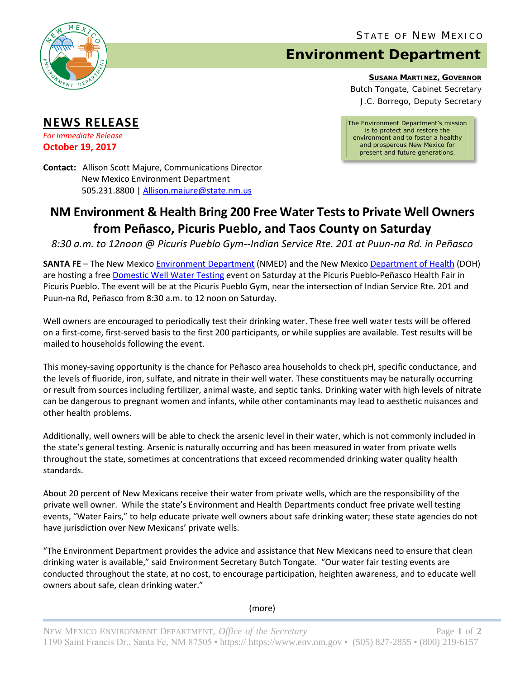

## **Environment Department**

**SUSANA MARTINEZ, GOVERNOR**

Butch Tongate, Cabinet Secretary J.C. Borrego, Deputy Secretary

*The Environment Department's mission is to protect and restore the environment and to foster a healthy and prosperous New Mexico for present and future generations.*

**NEWS RELEASE**

*For Immediate Release* **October 19, 2017**

**Contact:** Allison Scott Majure, Communications Director New Mexico Environment Department 505.231.8800 [| Allison.majure@state.nm.us](mailto:Allison.majure@state.nm.us)

## **NM Environment & Health Bring 200 Free Water Tests to Private Well Owners from Peñasco, Picuris Pueblo, and Taos County on Saturday**

*8:30 a.m. to 12noon @ Picuris Pueblo Gym--Indian Service Rte. 201 at Puun-na Rd. in Peñasco*

**SANTA FE** – The New Mexico [Environment Department](https://www.env.nm.gov/) (NMED) and the New Mexico [Department of Health](https://nmhealth.org/) (DOH) are hosting a free [Domestic Well Water Testing](https://www.env.nm.gov/gwb/NMED-GWQB-WaterFairs.htm) event on Saturday at the Picuris Pueblo-Peñasco Health Fair in Picuris Pueblo. The event will be at the Picuris Pueblo Gym, near the intersection of Indian Service Rte. 201 and Puun-na Rd, Peñasco from 8:30 a.m. to 12 noon on Saturday.

Well owners are encouraged to periodically test their drinking water. These free well water tests will be offered on a first-come, first-served basis to the first 200 participants, or while supplies are available. Test results will be mailed to households following the event.

This money-saving opportunity is the chance for Peñasco area households to check pH, specific conductance, and the levels of fluoride, iron, sulfate, and nitrate in their well water. These constituents may be naturally occurring or result from sources including fertilizer, animal waste, and septic tanks. Drinking water with high levels of nitrate can be dangerous to pregnant women and infants, while other contaminants may lead to aesthetic nuisances and other health problems.

Additionally, well owners will be able to check the arsenic level in their water, which is not commonly included in the state's general testing. Arsenic is naturally occurring and has been measured in water from private wells throughout the state, sometimes at concentrations that exceed recommended drinking water quality health standards.

About 20 percent of New Mexicans receive their water from private wells, which are the responsibility of the private well owner. While the state's Environment and Health Departments conduct free private well testing events, "Water Fairs," to help educate private well owners about safe drinking water; these state agencies do not have jurisdiction over New Mexicans' private wells.

"The Environment Department provides the advice and assistance that New Mexicans need to ensure that clean drinking water is available," said Environment Secretary Butch Tongate. "Our water fair testing events are conducted throughout the state, at no cost, to encourage participation, heighten awareness, and to educate well owners about safe, clean drinking water."

(more)